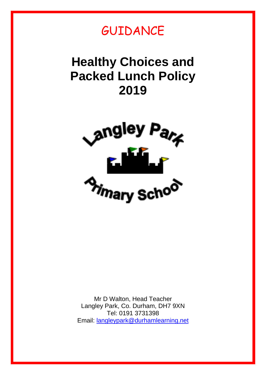

# **Healthy Choices and Packed Lunch Policy 2019**



Mr D Walton, Head Teacher Langley Park, Co. Durham, DH7 9XN Tel: 0191 3731398 Email: [langleypark@durhamlearning.net](mailto:langleypark@durhamlearning.net)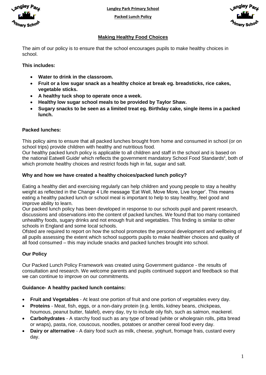

**Langley Park Primary School**

**Packed Lunch Policy**



## **Making Healthy Food Choices**

The aim of our policy is to ensure that the school encourages pupils to make healthy choices in school.

## **This includes:**

- **Water to drink in the classroom.**
- **Fruit or a low sugar snack as a healthy choice at break eg. breadsticks, rice cakes, vegetable sticks.**
- **A healthy tuck shop to operate once a week.**
- **Healthy low sugar school meals to be provided by Taylor Shaw.**
- **Sugary snacks to be seen as a limited treat eg. Birthday cake, single items in a packed lunch.**

#### **Packed lunches:**

This policy aims to ensure that all packed lunches brought from home and consumed in school (or on school trips) provide children with healthy and nutritious food.

Our healthy packed lunch policy is applicable to all children and staff in the school and is based on the national Eatwell Guide<sup>i</sup> which reflects the government mandatory School Food Standards<sup>ii</sup>, both of which promote healthy choices and restrict foods high in fat, sugar and salt.

#### **Why and how we have created a healthy choices/packed lunch policy?**

Eating a healthy diet and exercising regularly can help children and young people to stay a healthy weight as reflected in the Change 4 Life message 'Eat Well, Move More, Live longer'. This means eating a healthy packed lunch or school meal is important to help to stay healthy, feel good and improve ability to learn.

Our packed lunch policy has been developed in response to our schools pupil and parent research, discussions and observations into the content of packed lunches. We found that too many contained unhealthy foods, sugary drinks and not enough fruit and vegetables. This finding is similar to other schools in England and some local schools.

Ofsted are required to report on how the school promotes the personal development and wellbeing of all pupils assessing the extent which school supports pupils to make healthier choices and quality of all food consumed – this may include snacks and packed lunches brought into school.

## **Our Policy**

Our Packed Lunch Policy Framework was created using Government guidance - the results of consultation and research. We welcome parents and pupils continued support and feedback so that we can continue to improve on our commitments.

## **Guidance- A healthy packed lunch contains:**

- **Fruit and Vegetables** At least one portion of fruit and one portion of vegetables every day.
- **Proteins** Meat, fish, eggs, or a non-dairy protein (e.g. lentils, kidney beans, chickpeas, houmous, peanut butter, falafel), every day, try to include oily fish, such as salmon, mackerel.
- **Carbohydrates** A starchy food such as any type of bread (white or wholegrain rolls, pitta bread or wraps), pasta, rice, couscous, noodles, potatoes or another cereal food every day.
- **Dairy or alternative** A dairy food such as milk, cheese, yoghurt, fromage frais, custard every day.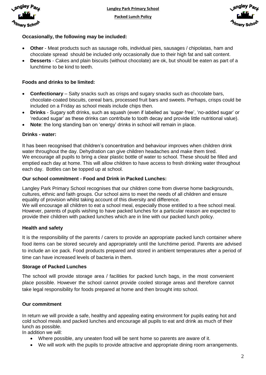



## **Occasionally, the following may be included:**

- **Other** Meat products such as sausage rolls, individual pies, sausages / chipolatas, ham and chocolate spread should be included only occasionally due to their high fat and salt content.
- **Desserts** Cakes and plain biscuits (without chocolate) are ok, but should be eaten as part of a lunchtime to be kind to teeth.

## **Foods and drinks to be limited:**

- **Confectionary** Salty snacks such as crisps and sugary snacks such as chocolate bars, chocolate-coated biscuits, cereal bars, processed fruit bars and sweets. Perhaps, crisps could be included on a Friday as school meals include chips then.
- **Drinks** Sugary soft drinks, such as squash (even if labelled as 'sugar-free', 'no-added sugar' or 'reduced sugar' as these drinks can contribute to tooth decay and provide little nutritional value).
- **Note**: the long standing ban on 'energy' drinks in school will remain in place.

#### **Drinks - water:**

It has been recognised that children's concentration and behaviour improves when children drink water throughout the day. Dehydration can give children headaches and make them tired. We encourage all pupils to bring a clear plastic bottle of water to school. These should be filled and emptied each day at home. This will allow children to have access to fresh drinking water throughout each day. Bottles can be topped up at school.

#### **Our school commitment - Food and Drink in Packed Lunches:**

Langley Park Primary School recognises that our children come from diverse home backgrounds, cultures, ethnic and faith groups. Our school aims to meet the needs of all children and ensure equality of provision whilst taking account of this diversity and difference. We will encourage all children to eat a school meal, especially those entitled to a free school meal. However, parents of pupils wishing to have packed lunches for a particular reason are expected to provide their children with packed lunches which are in line with our packed lunch policy.

## **Health and safety**

It is the responsibility of the parents / carers to provide an appropriate packed lunch container where food items can be stored securely and appropriately until the lunchtime period. Parents are advised to include an ice pack. Food products prepared and stored in ambient temperatures after a period of time can have increased levels of bacteria in them.

#### **Storage of Packed Lunches**

The school will provide storage area / facilities for packed lunch bags, in the most convenient place possible. However the school cannot provide cooled storage areas and therefore cannot take legal responsibility for foods prepared at home and then brought into school.

## **Our commitment**

In return we will provide a safe, healthy and appealing eating environment for pupils eating hot and cold school meals and packed lunches and encourage all pupils to eat and drink as much of their lunch as possible.

In addition we will:

- Where possible, any uneaten food will be sent home so parents are aware of it.
- We will work with the pupils to provide attractive and appropriate dining room arrangements.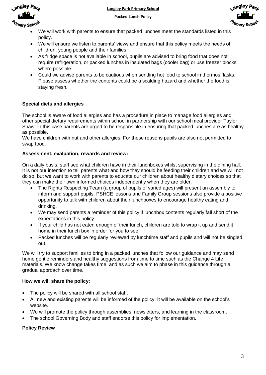

**Langley Park Primary School**

**Packed Lunch Policy**



- We will work with parents to ensure that packed lunches meet the standards listed in this policy.
- We will ensure we listen to parents' views and ensure that this policy meets the needs of children, young people and their families.
- As fridge space is not available in school, pupils are advised to bring food that does not require refrigeration, or packed lunches in insulated bags (cooler bag) or use freezer blocks where possible.
- Could we advise parents to be cautious when sending hot food to school in thermos flasks. Please assess whether the contents could be a scalding hazard and whether the food is staying fresh.

# **Special diets and allergies**

The school is aware of food allergies and has a procedure in place to manage food allergies and other special dietary requirements within school in partnership with our school meal provider Taylor Shaw. In this case parents are urged to be responsible in ensuring that packed lunches are as healthy as possible.

We have children with nut and other allergies. For these reasons pupils are also not permitted to swap food.

## **Assessment, evaluation, rewards and review:**

On a daily basis, staff see what children have in their lunchboxes whilst supervising in the dining hall. It is not our intention to tell parents what and how they should be feeding their children and we will not do so, but we want to work with parents to educate our children about healthy dietary choices so that they can make their own informed choices independently when they are older.

- The Rights Respecting Team (a group of pupils of varied ages) will present an assembly to inform and support pupils. PSHCE lessons and Family Group sessions also provide a positive opportunity to talk with children about their lunchboxes to encourage healthy eating and drinking.
- We may send parents a reminder of this policy if lunchbox contents regularly fall short of the expectations in this policy.
- If your child has not eaten enough of their lunch, children are told to wrap it up and send it home in their lunch box in order for you to see.
- Packed lunches will be regularly reviewed by lunchtime staff and pupils and will not be singled out.

We will try to support families to bring in a packed lunches that follow our guidance and may send home gentle reminders and healthy suggestions from time to time such as the Change 4 Life materials. We know change takes time, and as such we aim to phase in this guidance through a gradual approach over time.

## **How we will share the policy:**

- The policy will be shared with all school staff.
- All new and existing parents will be informed of the policy. It will be available on the school's website.
- We will promote the policy through assemblies, newsletters, and learning in the classroom.
- The school Governing Body and staff endorse this policy for implementation.

#### **Policy Review**